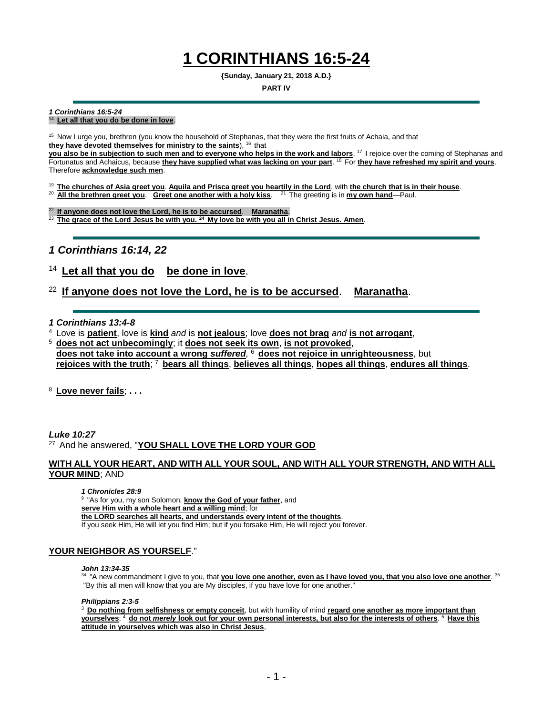# **1 CORINTHIANS 16:5-24**

**{Sunday, January 21, 2018 A.D.}**

#### **PART IV**

#### *1 Corinthians 16:5-24*

### <sup>14</sup>**Let all that you do be done in love**.

<sup>15</sup> Now I urge you, brethren (you know the household of Stephanas, that they were the first fruits of Achaia, and that they have devoted themselves for ministry to the saints), <sup>16</sup> that

**you also be in subjection to such men and to everyone who helps in the work and labors**. <sup>17</sup>I rejoice over the coming of Stephanas and Fortunatus and Achaicus, because **they have supplied what was lacking on your part**. <sup>18</sup>For **they have refreshed my spirit and yours**. Therefore **acknowledge such men**.

<sup>19</sup>**The churches of Asia greet you**. **Aquila and Prisca greet you heartily in the Lord**, with **the church that is in their house**.

<sup>20</sup> **All the brethren greet you. Greet one another with a holy kiss.** <sup>21</sup> The greeting is in **my own hand**—Paul.

<sup>22</sup>**If anyone does not love the Lord, he is to be accursed**. **Maranatha**. <sup>23</sup>**The grace of the Lord Jesus be with you. <sup>24</sup>My love be with you all in Christ Jesus. Amen**.

### *1 Corinthians 16:14, 22*

### Let all that you do be done in love.

### <sup>22</sup>**If anyone does not love the Lord, he is to be accursed**. **Maranatha**.

#### *1 Corinthians 13:4-8*

<sup>4</sup>Love is **patient**, love is **kind** *and* is **not jealous**; love **does not brag** *and* **is not arrogant**,

<sup>5</sup>**does not act unbecomingly**; it **does not seek its own**, **is not provoked**, **does not take into account a wrong** *suffered,* <sup>6</sup>**does not rejoice in unrighteousness**, but  **rejoices with the truth**; <sup>7</sup>**bears all things**, **believes all things**, **hopes all things**, **endures all things**.

<sup>8</sup>**Love never fails**; **. . .** 

#### *Luke 10:27* <sup>27</sup>And he answered, "**YOU SHALL LOVE THE LORD YOUR GOD**

### **WITH ALL YOUR HEART, AND WITH ALL YOUR SOUL, AND WITH ALL YOUR STRENGTH, AND WITH ALL YOUR MIND**; AND

#### *1 Chronicles 28:9*

<sup>9</sup>"As for you, my son Solomon, **know the God of your father**, and **serve Him with a whole heart and a willing mind**; for **the LORD searches all hearts, and understands every intent of the thoughts**. If you seek Him, He will let you find Him; but if you forsake Him, He will reject you forever.

### **YOUR NEIGHBOR AS YOURSELF**."

#### *John 13:34-35*

<sup>34</sup> "A new commandment I give to you, that **you love one another, even as I have loved you, that you also love one another**. <sup>35</sup> "By this all men will know that you are My disciples, if you have love for one another."

#### *Philippians 2:3-5*

<sup>3</sup> Do nothing from selfishness or empty conceit, but with humility of mind **regard one another as more important than yourselves**; <sup>4</sup>**do not** *merely* **look out for your own personal interests, but also for the interests of others**. <sup>5</sup>**Have this attitude in yourselves which was also in Christ Jesus**,